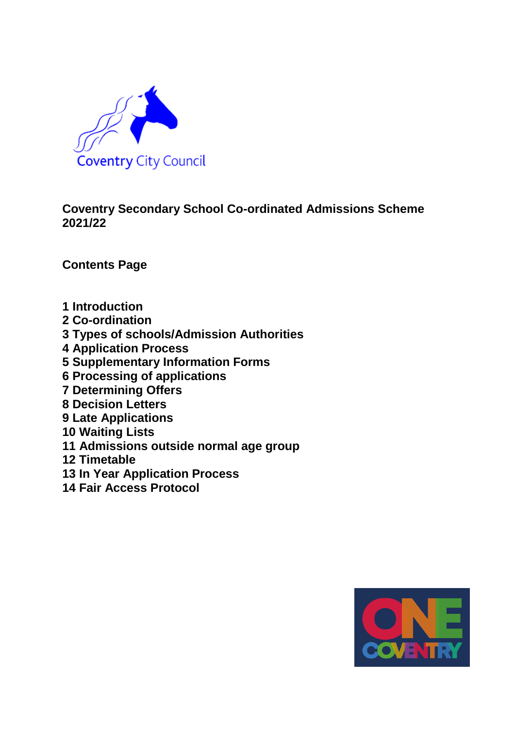

## **Coventry Secondary School Co-ordinated Admissions Scheme 2021/22**

**Contents Page**

- **1 Introduction**
- **2 Co-ordination**
- **3 Types of schools/Admission Authorities**
- **4 Application Process**
- **5 Supplementary Information Forms**
- **6 Processing of applications**
- **7 Determining Offers**
- **8 Decision Letters**
- **9 Late Applications**
- **10 Waiting Lists**
- **11 Admissions outside normal age group**
- **12 Timetable**
- **13 In Year Application Process**
- **14 Fair Access Protocol**

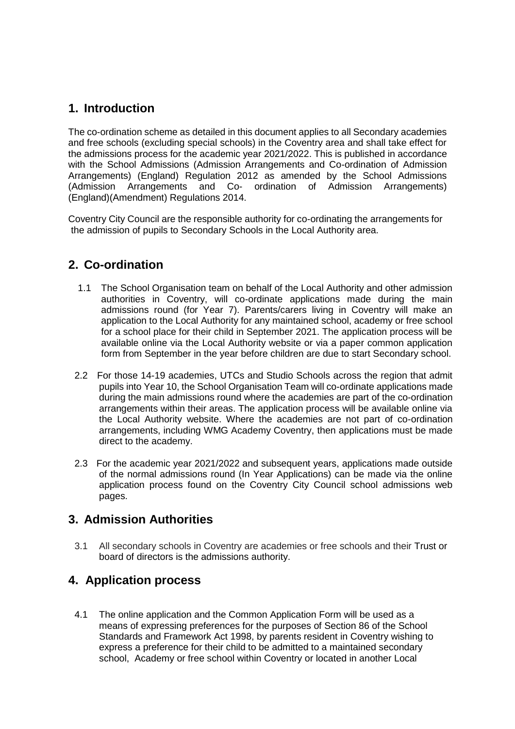### **1. Introduction**

The co-ordination scheme as detailed in this document applies to all Secondary academies and free schools (excluding special schools) in the Coventry area and shall take effect for the admissions process for the academic year 2021/2022. This is published in accordance with the School Admissions (Admission Arrangements and Co-ordination of Admission Arrangements) (England) Regulation 2012 as amended by the School Admissions (Admission Arrangements and Co- ordination of Admission Arrangements) (England)(Amendment) Regulations 2014.

Coventry City Council are the responsible authority for co-ordinating the arrangements for the admission of pupils to Secondary Schools in the Local Authority area.

### **2. Co-ordination**

- 1.1 The School Organisation team on behalf of the Local Authority and other admission authorities in Coventry, will co-ordinate applications made during the main admissions round (for Year 7). Parents/carers living in Coventry will make an application to the Local Authority for any maintained school, academy or free school for a school place for their child in September 2021. The application process will be available online via the Local Authority website or via a paper common application form from September in the year before children are due to start Secondary school.
- 2.2 For those 14-19 academies, UTCs and Studio Schools across the region that admit pupils into Year 10, the School Organisation Team will co-ordinate applications made during the main admissions round where the academies are part of the co-ordination arrangements within their areas. The application process will be available online via the Local Authority website. Where the academies are not part of co-ordination arrangements, including WMG Academy Coventry, then applications must be made direct to the academy.
- 2.3 For the academic year 2021/2022 and subsequent years, applications made outside of the normal admissions round (In Year Applications) can be made via the online application process found on the Coventry City Council school admissions web pages.

### **3. Admission Authorities**

3.1 All secondary schools in Coventry are academies or free schools and their Trust or board of directors is the admissions authority.

#### **4. Application process**

4.1 The online application and the Common Application Form will be used as a means of expressing preferences for the purposes of Section 86 of the School Standards and Framework Act 1998, by parents resident in Coventry wishing to express a preference for their child to be admitted to a maintained secondary school, Academy or free school within Coventry or located in another Local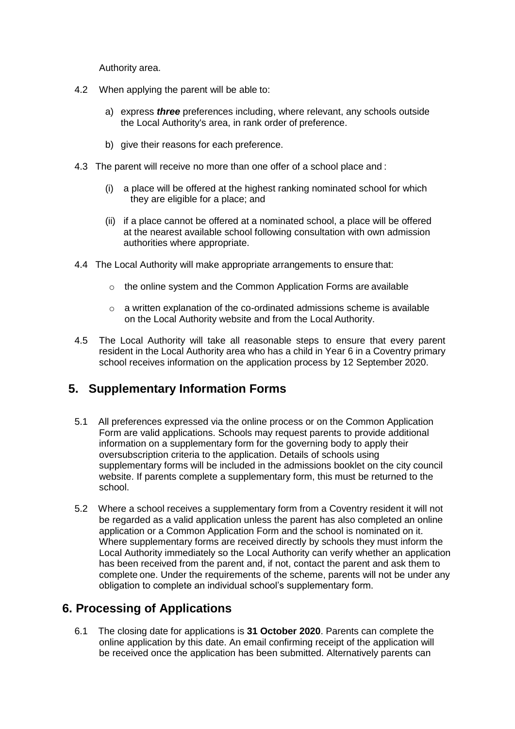Authority area.

- 4.2 When applying the parent will be able to:
	- a) express *three* preferences including, where relevant, any schools outside the Local Authority's area, in rank order of preference.
	- b) give their reasons for each preference.
- 4.3 The parent will receive no more than one offer of a school place and :
	- (i) a place will be offered at the highest ranking nominated school for which they are eligible for a place; and
	- (ii) if a place cannot be offered at a nominated school, a place will be offered at the nearest available school following consultation with own admission authorities where appropriate.
- 4.4 The Local Authority will make appropriate arrangements to ensure that:
	- $\circ$  the online system and the Common Application Forms are available
	- o a written explanation of the co-ordinated admissions scheme is available on the Local Authority website and from the Local Authority.
- 4.5 The Local Authority will take all reasonable steps to ensure that every parent resident in the Local Authority area who has a child in Year 6 in a Coventry primary school receives information on the application process by 12 September 2020.

# **5. Supplementary Information Forms**

- 5.1 All preferences expressed via the online process or on the Common Application Form are valid applications. Schools may request parents to provide additional information on a supplementary form for the governing body to apply their oversubscription criteria to the application. Details of schools using supplementary forms will be included in the admissions booklet on the city council website. If parents complete a supplementary form, this must be returned to the school.
- 5.2 Where a school receives a supplementary form from a Coventry resident it will not be regarded as a valid application unless the parent has also completed an online application or a Common Application Form and the school is nominated on it. Where supplementary forms are received directly by schools they must inform the Local Authority immediately so the Local Authority can verify whether an application has been received from the parent and, if not, contact the parent and ask them to complete one. Under the requirements of the scheme, parents will not be under any obligation to complete an individual school's supplementary form.

### **6. Processing of Applications**

6.1 The closing date for applications is **31 October 2020**. Parents can complete the online application by this date. An email confirming receipt of the application will be received once the application has been submitted. Alternatively parents can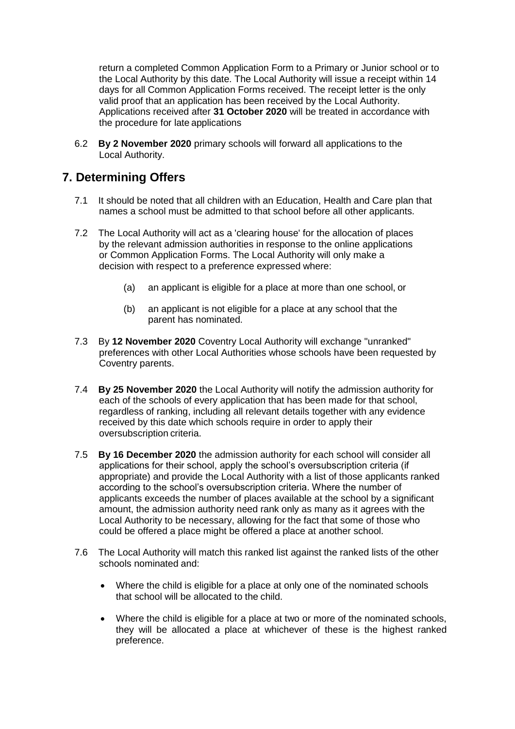return a completed Common Application Form to a Primary or Junior school or to the Local Authority by this date. The Local Authority will issue a receipt within 14 days for all Common Application Forms received. The receipt letter is the only valid proof that an application has been received by the Local Authority. Applications received after **31 October 2020** will be treated in accordance with the procedure for late applications

6.2 **By 2 November 2020** primary schools will forward all applications to the Local Authority.

#### **7. Determining Offers**

- 7.1 It should be noted that all children with an Education, Health and Care plan that names a school must be admitted to that school before all other applicants.
- 7.2 The Local Authority will act as a 'clearing house' for the allocation of places by the relevant admission authorities in response to the online applications or Common Application Forms. The Local Authority will only make a decision with respect to a preference expressed where:
	- (a) an applicant is eligible for a place at more than one school, or
	- (b) an applicant is not eligible for a place at any school that the parent has nominated.
- 7.3 By **12 November 2020** Coventry Local Authority will exchange "unranked" preferences with other Local Authorities whose schools have been requested by Coventry parents.
- 7.4 **By 25 November 2020** the Local Authority will notify the admission authority for each of the schools of every application that has been made for that school, regardless of ranking, including all relevant details together with any evidence received by this date which schools require in order to apply their oversubscription criteria.
- 7.5 **By 16 December 2020** the admission authority for each school will consider all applications for their school, apply the school's oversubscription criteria (if appropriate) and provide the Local Authority with a list of those applicants ranked according to the school's oversubscription criteria. Where the number of applicants exceeds the number of places available at the school by a significant amount, the admission authority need rank only as many as it agrees with the Local Authority to be necessary, allowing for the fact that some of those who could be offered a place might be offered a place at another school.
- 7.6 The Local Authority will match this ranked list against the ranked lists of the other schools nominated and:
	- Where the child is eligible for a place at only one of the nominated schools that school will be allocated to the child.
	- Where the child is eligible for a place at two or more of the nominated schools, they will be allocated a place at whichever of these is the highest ranked preference.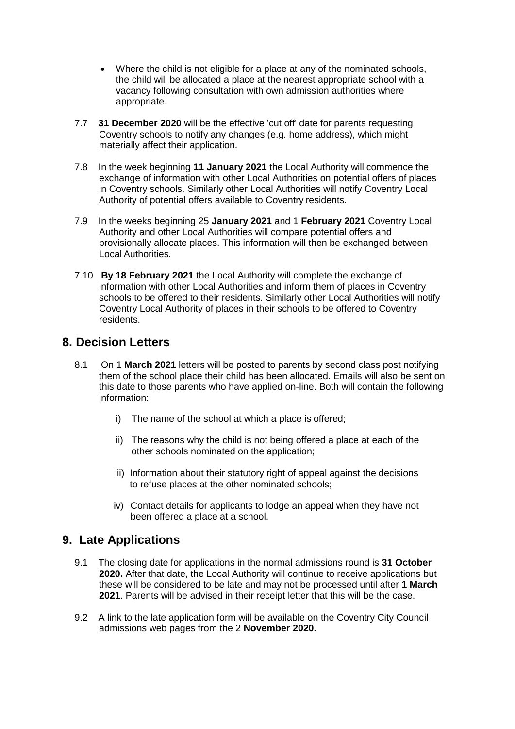- Where the child is not eligible for a place at any of the nominated schools, the child will be allocated a place at the nearest appropriate school with a vacancy following consultation with own admission authorities where appropriate.
- 7.7 **31 December 2020** will be the effective 'cut off' date for parents requesting Coventry schools to notify any changes (e.g. home address), which might materially affect their application.
- 7.8 In the week beginning **11 January 2021** the Local Authority will commence the exchange of information with other Local Authorities on potential offers of places in Coventry schools. Similarly other Local Authorities will notify Coventry Local Authority of potential offers available to Coventry residents.
- 7.9 In the weeks beginning 25 **January 2021** and 1 **February 2021** Coventry Local Authority and other Local Authorities will compare potential offers and provisionally allocate places. This information will then be exchanged between Local Authorities.
- 7.10 **By 18 February 2021** the Local Authority will complete the exchange of information with other Local Authorities and inform them of places in Coventry schools to be offered to their residents. Similarly other Local Authorities will notify Coventry Local Authority of places in their schools to be offered to Coventry residents.

### **8. Decision Letters**

- 8.1 On 1 **March 2021** letters will be posted to parents by second class post notifying them of the school place their child has been allocated. Emails will also be sent on this date to those parents who have applied on-line. Both will contain the following information:
	- i) The name of the school at which a place is offered;
	- ii) The reasons why the child is not being offered a place at each of the other schools nominated on the application;
	- iii) Information about their statutory right of appeal against the decisions to refuse places at the other nominated schools;
	- iv) Contact details for applicants to lodge an appeal when they have not been offered a place at a school.

### **9. Late Applications**

- 9.1 The closing date for applications in the normal admissions round is **31 October 2020.** After that date, the Local Authority will continue to receive applications but these will be considered to be late and may not be processed until after **1 March 2021**. Parents will be advised in their receipt letter that this will be the case.
- 9.2 A link to the late application form will be available on the Coventry City Council admissions web pages from the 2 **November 2020.**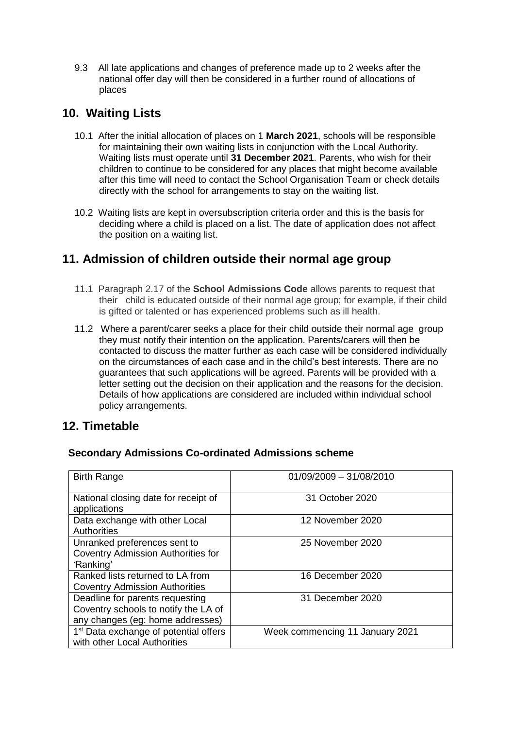9.3All late applications and changes of preference made up to 2 weeks after the national offer day will then be considered in a further round of allocations of places

### **10. Waiting Lists**

- 10.1 After the initial allocation of places on 1 **March 2021**, schools will be responsible for maintaining their own waiting lists in conjunction with the Local Authority. Waiting lists must operate until **31 December 2021**. Parents, who wish for their children to continue to be considered for any places that might become available after this time will need to contact the School Organisation Team or check details directly with the school for arrangements to stay on the waiting list.
- 10.2 Waiting lists are kept in oversubscription criteria order and this is the basis for deciding where a child is placed on a list. The date of application does not affect the position on a waiting list.

### **11. Admission of children outside their normal age group**

- 11.1 Paragraph 2.17 of the **School Admissions Code** allows parents to request that their child is educated outside of their normal age group; for example, if their child is gifted or talented or has experienced problems such as ill health.
- 11.2 Where a parent/carer seeks a place for their child outside their normal age group they must notify their intention on the application. Parents/carers will then be contacted to discuss the matter further as each case will be considered individually on the circumstances of each case and in the child's best interests. There are no guarantees that such applications will be agreed. Parents will be provided with a letter setting out the decision on their application and the reasons for the decision. Details of how applications are considered are included within individual school policy arrangements.

#### **12. Timetable**

| <b>Birth Range</b>                                                                                          | 01/09/2009 - 31/08/2010         |
|-------------------------------------------------------------------------------------------------------------|---------------------------------|
| National closing date for receipt of<br>applications                                                        | 31 October 2020                 |
| Data exchange with other Local<br><b>Authorities</b>                                                        | 12 November 2020                |
| Unranked preferences sent to<br><b>Coventry Admission Authorities for</b><br>'Ranking'                      | 25 November 2020                |
| Ranked lists returned to LA from<br><b>Coventry Admission Authorities</b>                                   | 16 December 2020                |
| Deadline for parents requesting<br>Coventry schools to notify the LA of<br>any changes (eg: home addresses) | 31 December 2020                |
| 1 <sup>st</sup> Data exchange of potential offers<br>with other Local Authorities                           | Week commencing 11 January 2021 |

#### **Secondary Admissions Co-ordinated Admissions scheme**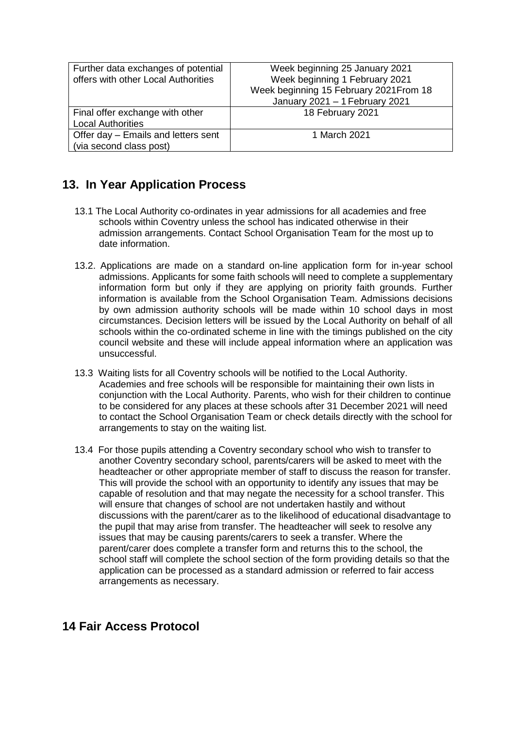| Further data exchanges of potential<br>offers with other Local Authorities | Week beginning 25 January 2021<br>Week beginning 1 February 2021<br>Week beginning 15 February 2021 From 18<br>January 2021 - 1 February 2021 |
|----------------------------------------------------------------------------|-----------------------------------------------------------------------------------------------------------------------------------------------|
| Final offer exchange with other<br><b>Local Authorities</b>                | 18 February 2021                                                                                                                              |
| Offer day - Emails and letters sent<br>(via second class post)             | 1 March 2021                                                                                                                                  |

## **13. In Year Application Process**

- 13.1 The Local Authority co-ordinates in year admissions for all academies and free schools within Coventry unless the school has indicated otherwise in their admission arrangements. Contact School Organisation Team for the most up to date information.
- 13.2. Applications are made on a standard on-line application form for in-year school admissions. Applicants for some faith schools will need to complete a supplementary information form but only if they are applying on priority faith grounds. Further information is available from the School Organisation Team. Admissions decisions by own admission authority schools will be made within 10 school days in most circumstances. Decision letters will be issued by the Local Authority on behalf of all schools within the co-ordinated scheme in line with the timings published on the city council website and these will include appeal information where an application was unsuccessful.
- 13.3Waiting lists for all Coventry schools will be notified to the Local Authority. Academies and free schools will be responsible for maintaining their own lists in conjunction with the Local Authority. Parents, who wish for their children to continue to be considered for any places at these schools after 31 December 2021 will need to contact the School Organisation Team or check details directly with the school for arrangements to stay on the waiting list.
- 13.4 For those pupils attending a Coventry secondary school who wish to transfer to another Coventry secondary school, parents/carers will be asked to meet with the headteacher or other appropriate member of staff to discuss the reason for transfer. This will provide the school with an opportunity to identify any issues that may be capable of resolution and that may negate the necessity for a school transfer. This will ensure that changes of school are not undertaken hastily and without discussions with the parent/carer as to the likelihood of educational disadvantage to the pupil that may arise from transfer. The headteacher will seek to resolve any issues that may be causing parents/carers to seek a transfer. Where the parent/carer does complete a transfer form and returns this to the school, the school staff will complete the school section of the form providing details so that the application can be processed as a standard admission or referred to fair access arrangements as necessary.

### **14 Fair Access Protocol**